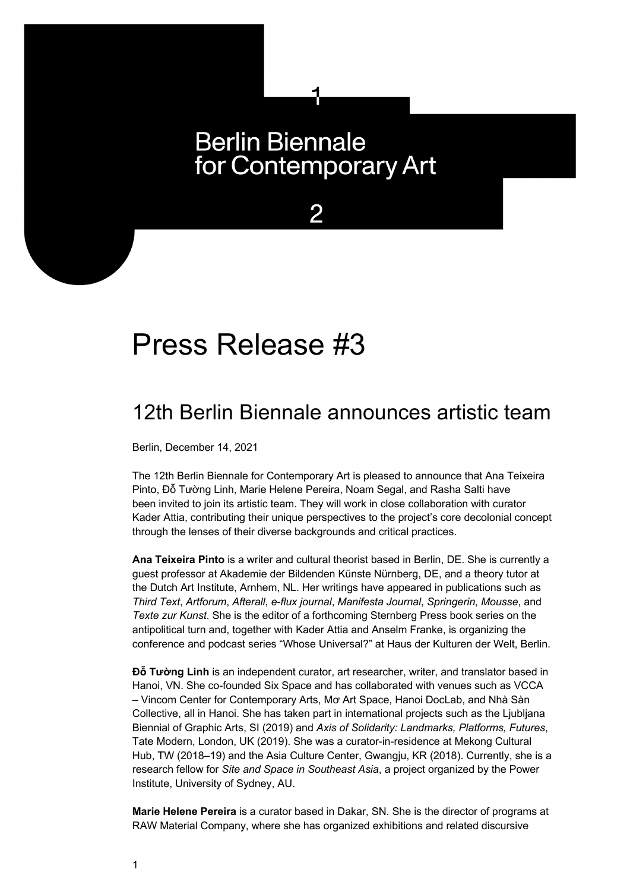## **Berlin Biennale** for Contemporary Art

## Press Release #3

## 12th Berlin Biennale announces artistic team

Berlin, December 14, 2021

The 12th Berlin Biennale for Contemporary Art is pleased to announce that Ana Teixeira Pinto, Đỗ Tường Linh, Marie Helene Pereira, Noam Segal, and Rasha Salti have been invited to join its artistic team. They will work in close collaboration with curator Kader Attia, contributing their unique perspectives to the project's core decolonial concept through the lenses of their diverse backgrounds and critical practices.

**Ana Teixeira Pinto** is a writer and cultural theorist based in Berlin, DE. She is currently a guest professor at Akademie der Bildenden Künste Nürnberg, DE, and a theory tutor at the Dutch Art Institute, Arnhem, NL. Her writings have appeared in publications such as *Third Text*, *Artforum*, *Afterall*, *e-flux journal*, *Manifesta Journal*, *Springerin*, *Mousse*, and *Texte zur Kunst*. She is the editor of a forthcoming Sternberg Press book series on the antipolitical turn and, together with Kader Attia and Anselm Franke, is organizing the conference and podcast series "Whose Universal?" at Haus der Kulturen der Welt, Berlin.

**Đỗ Tường Linh** is an independent curator, art researcher, writer, and translator based in Hanoi, VN. She co-founded Six Space and has collaborated with venues such as VCCA – Vincom Center for Contemporary Arts, Mơ Art Space, Hanoi DocLab, and Nhà Sàn Collective, all in Hanoi. She has taken part in international projects such as the Ljubljana Biennial of Graphic Arts, SI (2019) and *Axis of Solidarity: Landmarks, Platforms, Futures*, Tate Modern, London, UK (2019). She was a curator-in-residence at Mekong Cultural Hub, TW (2018–19) and the Asia Culture Center, Gwangju, KR (2018). Currently, she is a research fellow for *Site and Space in Southeast Asia*, a project organized by the Power Institute, University of Sydney, AU.

**Marie Helene Pereira** is a curator based in Dakar, SN. She is the director of programs at RAW Material Company, where she has organized exhibitions and related discursive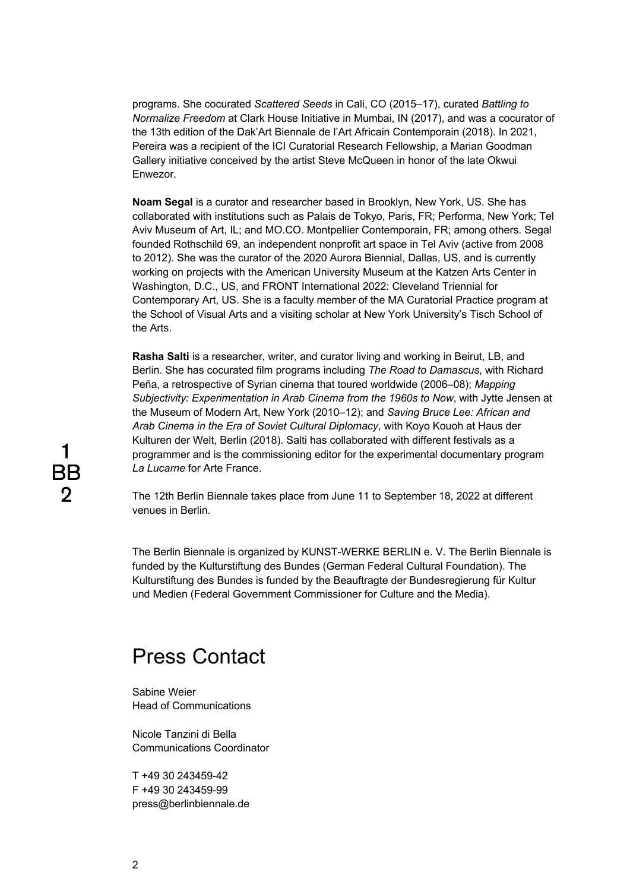programs. She cocurated *Scattered Seeds* in Cali, CO (2015–17), curated *Battling to Normalize Freedom* at Clark House Initiative in Mumbai, IN (2017), and was a cocurator of the 13th edition of the Dak'Art Biennale de l'Art Africain Contemporain (2018). In 2021, Pereira was a recipient of the ICI Curatorial Research Fellowship, a Marian Goodman Gallery initiative conceived by the artist Steve McQueen in honor of the late Okwui Enwezor.

**Noam Segal** is a curator and researcher based in Brooklyn, New York, US. She has collaborated with institutions such as Palais de Tokyo, Paris, FR; Performa, New York; Tel Aviv Museum of Art, IL; and MO.CO. Montpellier Contemporain, FR; among others. Segal founded Rothschild 69, an independent nonprofit art space in Tel Aviv (active from 2008 to 2012). She was the curator of the 2020 Aurora Biennial, Dallas, US, and is currently working on projects with the American University Museum at the Katzen Arts Center in Washington, D.C., US, and FRONT International 2022: Cleveland Triennial for Contemporary Art, US. She is a faculty member of the MA Curatorial Practice program at the School of Visual Arts and a visiting scholar at New York University's Tisch School of the Arts.

**Rasha Salti** is a researcher, writer, and curator living and working in Beirut, LB, and Berlin. She has cocurated film programs including *The Road to Damascus*, with Richard Peña, a retrospective of Syrian cinema that toured worldwide (2006–08); *Mapping Subjectivity: Experimentation in Arab Cinema from the 1960s to Now*, with Jytte Jensen at the Museum of Modern Art, New York (2010–12); and *Saving Bruce Lee: African and Arab Cinema in the Era of Soviet Cultural Diplomacy*, with Koyo Kouoh at Haus der Kulturen der Welt, Berlin (2018). Salti has collaborated with different festivals as a programmer and is the commissioning editor for the experimental documentary program *La Lucarne* for Arte France.

The 12th Berlin Biennale takes place from June 11 to September 18, 2022 at different venues in Berlin.

The Berlin Biennale is organized by KUNST-WERKE BERLIN e. V. The Berlin Biennale is funded by the Kulturstiftung des Bundes (German Federal Cultural Foundation). The Kulturstiftung des Bundes is funded by the Beauftragte der Bundesregierung für Kultur und Medien (Federal Government Commissioner for Culture and the Media).

## Press Contact

Sabine Weier Head of Communications

Nicole Tanzini di Bella Communications Coordinator

T +49 30 243459-42 F +49 30 243459-99 press@berlinbiennale.de